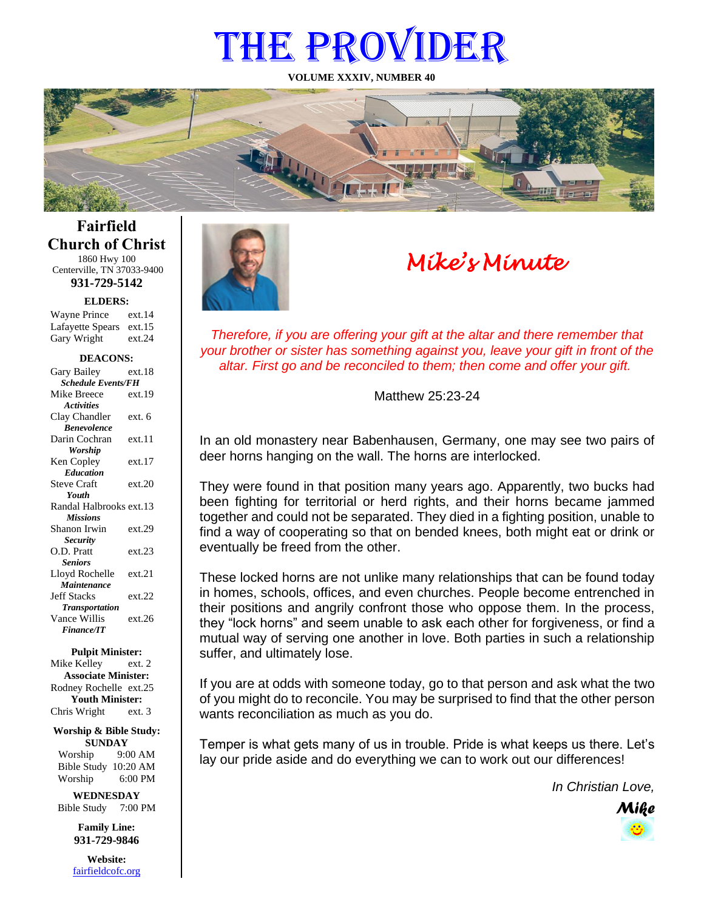# THE PROVIDER

**VOLUME XXXIV, NUMBER 40**



**Fairfield Church of Christ** 1860 Hwy 100

Centerville, TN 37033-9400 **931-729-5142**

**ELDERS:**

Gary Wright ext.24 Wayne Prince ext.14 Lafayette Spears ext.15

#### **DEACONS:**

| Gary Bailey                      | ext.18 |
|----------------------------------|--------|
| <b>Schedule Events/FH</b>        |        |
| Mike Breece                      | ext.19 |
| <b>Activities</b>                |        |
| Clay Chandler                    | ext. 6 |
| <b><i><u>Renevolence</u></i></b> |        |
| Darin Cochran                    | ext.11 |
| Worship                          |        |
| Ken Copley                       | ext.17 |
| <b>Education</b>                 |        |
| <b>Steve Craft</b>               | ext.20 |
| Youth                            |        |
| Randal Halbrooks ext.13          |        |
| <b>Missions</b>                  |        |
| Shanon Irwin                     | ext.29 |
| <b>Security</b>                  |        |
| O.D. Pratt                       | ext.23 |
| <b>Seniors</b>                   |        |
| Lloyd Rochelle                   | ext.21 |
| <b>Maintenance</b>               |        |
| <b>Jeff Stacks</b>               | ext.22 |
| <b>Transportation</b>            |        |
| Vance Willis                     | ext.26 |
| <b>Finance/IT</b>                |        |
|                                  |        |

**Pulpit Minister:**

Mike Kelley ext. 2 **Associate Minister:** Rodney Rochelle ext.25 **Youth Minister:** Chris Wright ext. 3

**Worship & Bible Study: SUNDAY** Worship 9:00 AM Bible Study 10:20 AM

Worship 6:00 PM **WEDNESDAY**

Bible Study 7:00 PM

**Family Line: 931-729-9846**

**Website:** [fairfieldcofc.org](file:///C:/Users/RickJoyce/Documents/Fairfield%20Website%20Files/fairfieldchurchofchrist.org)



# *Mike's Minute*

*Therefore, if you are offering your gift at the altar and there remember that your brother or sister has something against you, leave your gift in front of the altar. First go and be reconciled to them; then come and offer your gift.*

Matthew 25:23-24

In an old monastery near Babenhausen, Germany, one may see two pairs of deer horns hanging on the wall. The horns are interlocked.

They were found in that position many years ago. Apparently, two bucks had been fighting for territorial or herd rights, and their horns became jammed together and could not be separated. They died in a fighting position, unable to find a way of cooperating so that on bended knees, both might eat or drink or eventually be freed from the other.

These locked horns are not unlike many relationships that can be found today in homes, schools, offices, and even churches. People become entrenched in their positions and angrily confront those who oppose them. In the process, they "lock horns" and seem unable to ask each other for forgiveness, or find a mutual way of serving one another in love. Both parties in such a relationship suffer, and ultimately lose.

If you are at odds with someone today, go to that person and ask what the two of you might do to reconcile. You may be surprised to find that the other person wants reconciliation as much as you do.

Temper is what gets many of us in trouble. Pride is what keeps us there. Let's lay our pride aside and do everything we can to work out our differences!

*In Christian Love,*

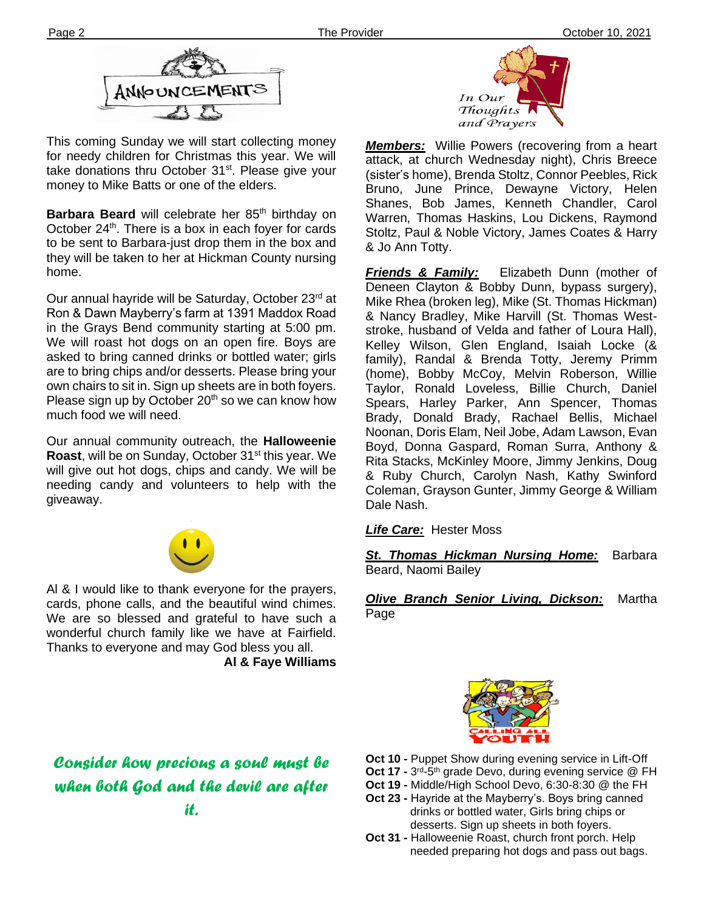

This coming Sunday we will start collecting money for needy children for Christmas this year. We will take donations thru October 31<sup>st</sup>. Please give your money to Mike Batts or one of the elders.

October 24<sup>--</sup>. There is a box in each loyer for cards<br>to be sent to Barbara-just drop them in the box and **Barbara Beard** will celebrate her 85<sup>th</sup> birthday on October  $24<sup>th</sup>$ . There is a box in each foyer for cards they will be taken to her at Hickman County nursing home.

Our annual hayride will be Saturday, October 23rd at Ron & Dawn Mayberry's farm at 1391 Maddox Road in the Grays Bend community starting at 5:00 pm. We will roast hot dogs on an open fire. Boys are asked to bring canned drinks or bottled water; girls are to bring chips and/or desserts. Please bring your own chairs to sit in. Sign up sheets are in both foyers. Please sign up by October  $20<sup>th</sup>$  so we can know how much food we will need.

Our annual community outreach, the **Halloweenie Roast**, will be on Sunday, October 31<sup>st</sup> this year. We will give out hot dogs, chips and candy. We will be needing candy and volunteers to help with the giveaway.



Al & I would like to thank everyone for the prayers, cards, phone calls, and the beautiful wind chimes. We are so blessed and grateful to have such a wonderful church family like we have at Fairfield. Thanks to everyone and may God bless you all. **Al & Faye Williams**

# *Consider how precious a soul must be when both God and the devil are after it.*



*Members:* Willie Powers (recovering from a heart attack, at church Wednesday night), Chris Breece (sister's home), Brenda Stoltz, Connor Peebles, Rick Bruno, June Prince, Dewayne Victory, Helen Shanes, Bob James, Kenneth Chandler, Carol Warren, Thomas Haskins, Lou Dickens, Raymond Stoltz, Paul & Noble Victory, James Coates & Harry & Jo Ann Totty.

*Friends & Family:* Elizabeth Dunn (mother of Deneen Clayton & Bobby Dunn, bypass surgery), Mike Rhea (broken leg), Mike (St. Thomas Hickman) & Nancy Bradley, Mike Harvill (St. Thomas Weststroke, husband of Velda and father of Loura Hall), Kelley Wilson, Glen England, Isaiah Locke (& family), Randal & Brenda Totty, Jeremy Primm (home), Bobby McCoy, Melvin Roberson, Willie Taylor, Ronald Loveless, Billie Church, Daniel Spears, Harley Parker, Ann Spencer, Thomas Brady, Donald Brady, Rachael Bellis, Michael Noonan, Doris Elam, Neil Jobe, Adam Lawson, Evan Boyd, Donna Gaspard, Roman Surra, Anthony & Rita Stacks, McKinley Moore, Jimmy Jenkins, Doug & Ruby Church, Carolyn Nash, Kathy Swinford Coleman, Grayson Gunter, Jimmy George & William Dale Nash.

*Life Care:* Hester Moss

*St. Thomas Hickman Nursing Home:* Barbara Beard, Naomi Bailey

*Olive Branch Senior Living, Dickson:* Martha Page



- **Oct 10 -** Puppet Show during evening service in Lift-Off
- Oct 17 3<sup>rd</sup>-5<sup>th</sup> grade Devo, during evening service @ FH
- **Oct 19 -** Middle/High School Devo, 6:30-8:30 @ the FH
- **Oct 23 -** Hayride at the Mayberry's. Boys bring canned drinks or bottled water, Girls bring chips or desserts. Sign up sheets in both foyers.
- **Oct 31 -** Halloweenie Roast, church front porch. Help needed preparing hot dogs and pass out bags.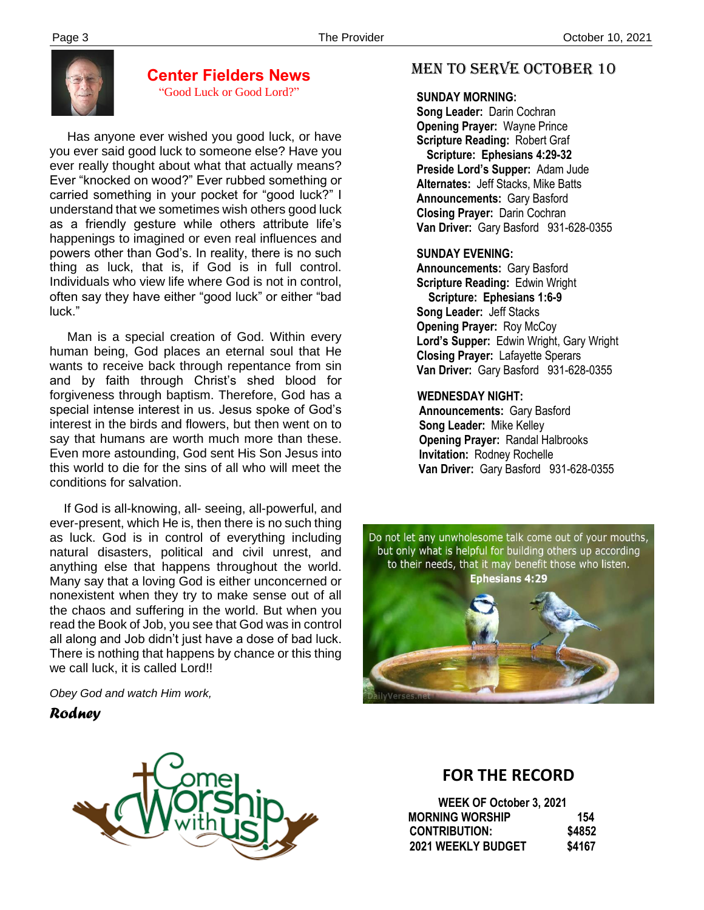

#### **Center Fielders News** "Good Luck or Good Lord?"

 Has anyone ever wished you good luck, or have you ever said good luck to someone else? Have you ever really thought about what that actually means? Ever "knocked on wood?" Ever rubbed something or carried something in your pocket for "good luck?" I understand that we sometimes wish others good luck as a friendly gesture while others attribute life's happenings to imagined or even real influences and powers other than God's. In reality, there is no such thing as luck, that is, if God is in full control. Individuals who view life where God is not in control, often say they have either "good luck" or either "bad luck."

 Man is a special creation of God. Within every human being, God places an eternal soul that He wants to receive back through repentance from sin and by faith through Christ's shed blood for forgiveness through baptism. Therefore, God has a special intense interest in us. Jesus spoke of God's interest in the birds and flowers, but then went on to say that humans are worth much more than these. Even more astounding, God sent His Son Jesus into this world to die for the sins of all who will meet the conditions for salvation.

There is nothing that happens by chance or this thing If God is all-knowing, all- seeing, all-powerful, and ever-present, which He is, then there is no such thing as luck. God is in control of everything including natural disasters, political and civil unrest, and anything else that happens throughout the world. Many say that a loving God is either unconcerned or nonexistent when they try to make sense out of all the chaos and suffering in the world. But when you read the Book of Job, you see that God was in control all along and Job didn't just have a dose of bad luck. we call luck, it is called Lord!!

*Obey God and watch Him work,*

## *Rodney*



# MEN TO SERVE October 10

## **SUNDAY MORNING:**

**Song Leader:** Darin Cochran  **Opening Prayer:** Wayne Prince **Scripture Reading:** Robert Graf  **Scripture: Ephesians 4:29-32 Preside Lord's Supper:** Adam Jude  **Alternates:** Jeff Stacks, Mike Batts  **Announcements:** Gary Basford  **Closing Prayer:** Darin Cochran **Van Driver:** Gary Basford 931-628-0355

## **SUNDAY EVENING:**

**Announcements:** Gary Basford **Scripture Reading:** Edwin Wright  **Scripture: Ephesians 1:6-9 Song Leader:** Jeff Stacks **Opening Prayer: Roy McCoy Lord's Supper:** Edwin Wright, Gary Wright **Closing Prayer:** Lafayette Sperars **Van Driver:** Gary Basford 931-628-0355

#### **WEDNESDAY NIGHT:**

**Announcements:** Gary Basford **Song Leader:** Mike Kelley **Opening Prayer:** Randal Halbrooks **Invitation:** Rodney Rochelle  **Van Driver:** Gary Basford 931-628-0355

Do not let any unwholesome talk come out of your mouths, but only what is helpful for building others up according to their needs, that it may benefit those who listen. **Ephesians 4:29** 



# **FOR THE RECORD**

 **WEEK OF October 3, 2021 MORNING WORSHIP 154 CONTRIBUTION: \$4852 2021 WEEKLY BUDGET \$4167**